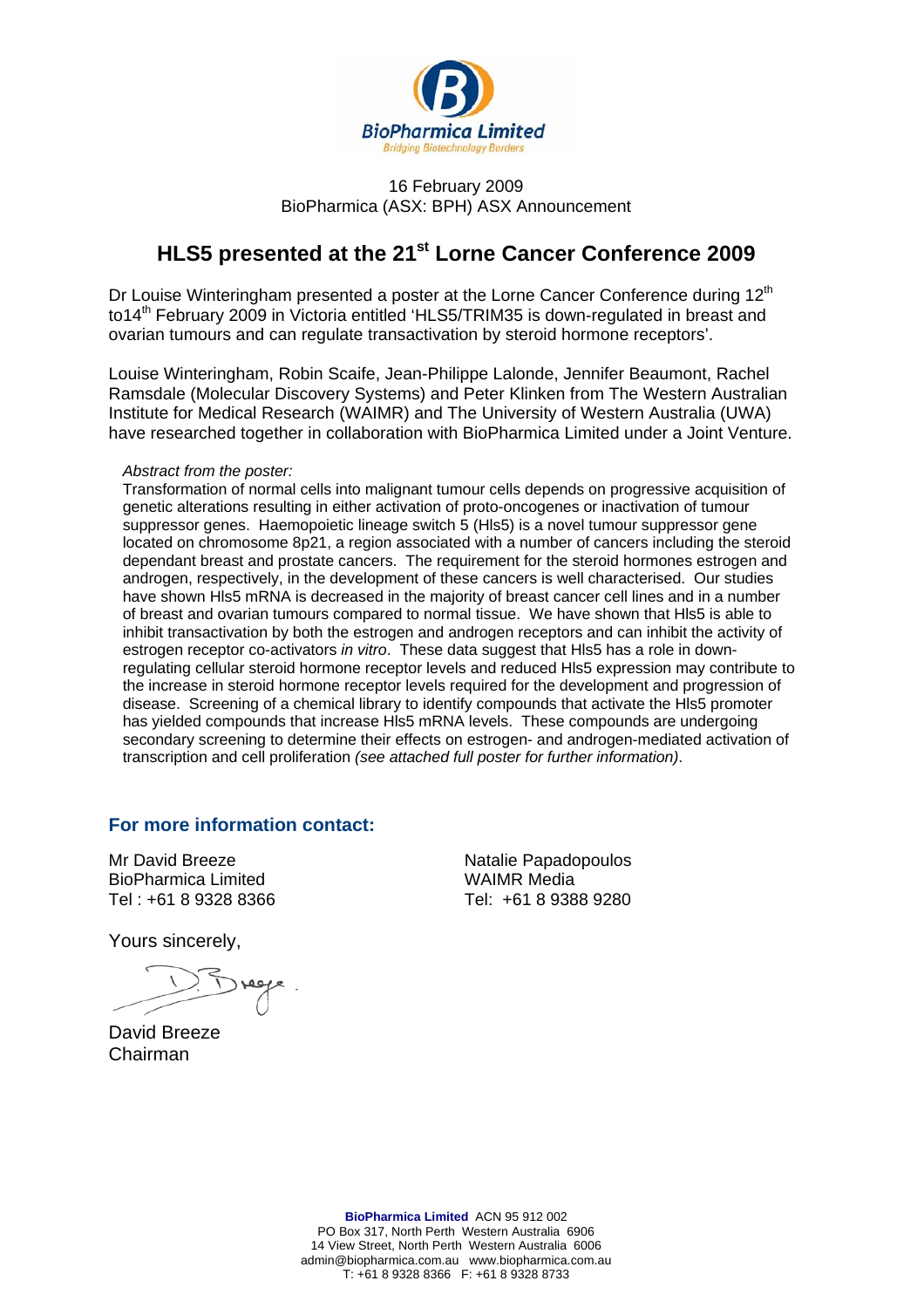

#### 16 February 2009 BioPharmica (ASX: BPH) ASX Announcement

# **HLS5 presented at the 21st Lorne Cancer Conference 2009**

Dr Louise Winteringham presented a poster at the Lorne Cancer Conference during 12<sup>th</sup> to14<sup>th</sup> February 2009 in Victoria entitled 'HLS5/TRIM35 is down-regulated in breast and ovarian tumours and can regulate transactivation by steroid hormone receptors'.

Louise Winteringham, Robin Scaife, Jean-Philippe Lalonde, Jennifer Beaumont, Rachel Ramsdale (Molecular Discovery Systems) and Peter Klinken from The Western Australian Institute for Medical Research (WAIMR) and The University of Western Australia (UWA) have researched together in collaboration with BioPharmica Limited under a Joint Venture.

#### *Abstract from the poster:*

Transformation of normal cells into malignant tumour cells depends on progressive acquisition of genetic alterations resulting in either activation of proto-oncogenes or inactivation of tumour suppressor genes. Haemopoietic lineage switch 5 (Hls5) is a novel tumour suppressor gene located on chromosome 8p21, a region associated with a number of cancers including the steroid dependant breast and prostate cancers. The requirement for the steroid hormones estrogen and androgen, respectively, in the development of these cancers is well characterised. Our studies have shown Hls5 mRNA is decreased in the majority of breast cancer cell lines and in a number of breast and ovarian tumours compared to normal tissue. We have shown that Hls5 is able to inhibit transactivation by both the estrogen and androgen receptors and can inhibit the activity of estrogen receptor co-activators *in vitro*. These data suggest that Hls5 has a role in downregulating cellular steroid hormone receptor levels and reduced Hls5 expression may contribute to the increase in steroid hormone receptor levels required for the development and progression of disease. Screening of a chemical library to identify compounds that activate the Hls5 promoter has yielded compounds that increase HIs5 mRNA levels. These compounds are undergoing secondary screening to determine their effects on estrogen- and androgen-mediated activation of transcription and cell proliferation *(see attached full poster for further information)*.

### **For more information contact:**

Mr David Breeze BioPharmica Limited Tel : +61 8 9328 8366

Yours sincerely,

David Breeze Chairman

Natalie Papadopoulos WAIMR Media Tel: +61 8 9388 9280